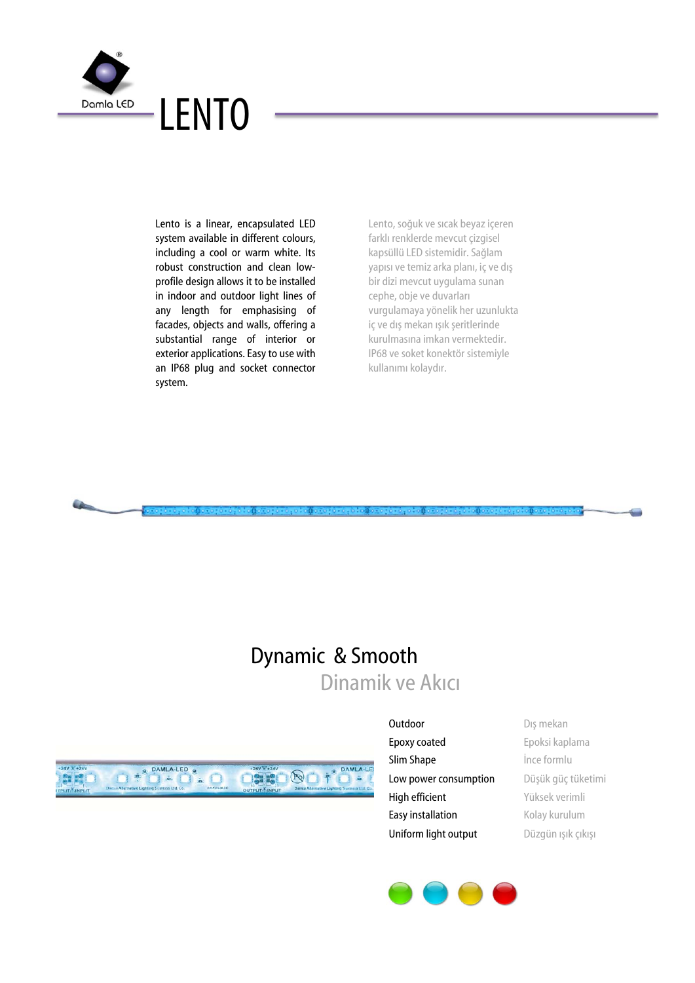

Lento is a linear, encapsulated LED system available in different colours, including a cool or warm white. Its robust construction and clean lowprofile design allows it to be installed in indoor and outdoor light lines of any length for emphasising of facades, objects and walls, offering a substantial range of interior or exterior applications. Easy to use with an IP68 plug and socket connector system.

Lento, soğuk ve sıcak beyaz içeren farklı renklerde mevcut çizgisel kapsüllü LED sistemidir. Sağlam yapısı ve temiz arka planı, iç ve dış bir dizi mevcut uygulama sunan cephe, obje ve duvarları vurgulamaya yönelik her uzunlukta iç ve dış mekan ışık şeritlerinde kurulmasına imkan vermektedir. IP68 ve soket konektör sistemiyle kullanımı kolaydır.

# Dynamic & Smooth Dinamik ve Akıcı



- Epoxy coated Epoksi kaplama **Slim Shape** ince formlu Low power consumption Düşük güç tüketimi High efficient Yüksek verimli Easy installation Kolay kurulum Uniform light output Düzgün ışık çıkışı
- Outdoor Dış mekan

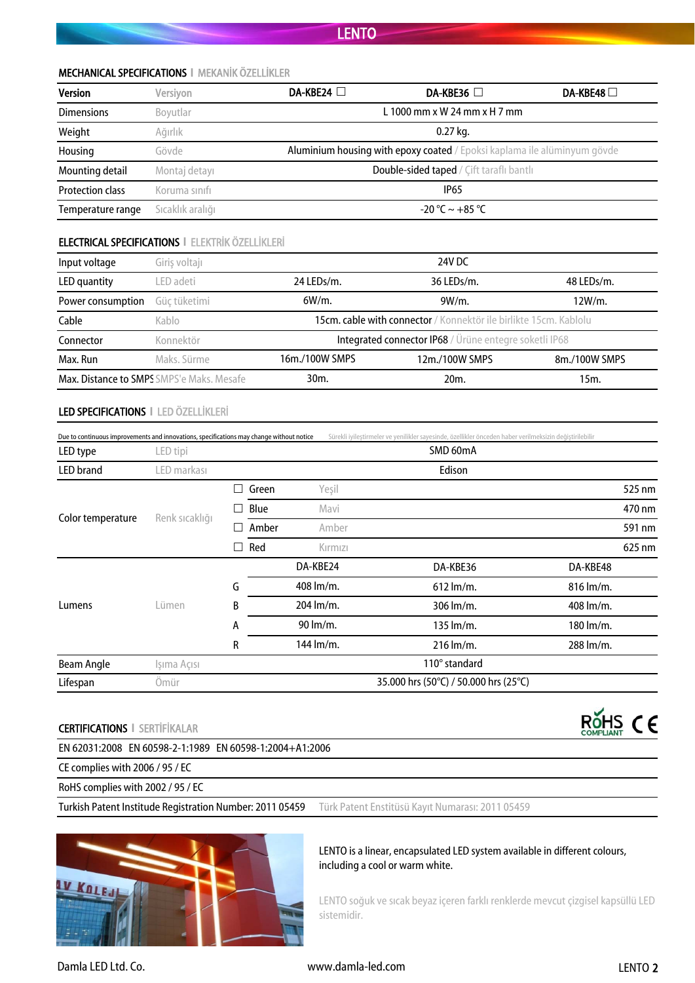#### MECHANICAL SPECIFICATIONS **І** MEKANİK ÖZELLİKLER

| <b>Version</b>          | Versivon         | DA-KBE24 $\Box$                                                          | DA-KBE36 $\Box$              | DA-KBE48 $\Box$ |  |  |  |
|-------------------------|------------------|--------------------------------------------------------------------------|------------------------------|-----------------|--|--|--|
| <b>Dimensions</b>       | Boyutlar         |                                                                          | L 1000 mm x W 24 mm x H 7 mm |                 |  |  |  |
| Weight                  | Ağırlık          | $0.27$ kg.                                                               |                              |                 |  |  |  |
| Housing                 | Gövde            | Aluminium housing with epoxy coated / Epoksi kaplama ile alüminyum gövde |                              |                 |  |  |  |
| Mounting detail         | Montaj detayı    | Double-sided taped / Cift taraflı bantlı                                 |                              |                 |  |  |  |
| <b>Protection class</b> | Koruma sınıfı    |                                                                          | <b>IP65</b>                  |                 |  |  |  |
| Temperature range       | Sıcaklık aralığı |                                                                          | $-20$ °C $\sim +85$ °C       |                 |  |  |  |

### ELECTRICAL SPECIFICATIONS **І** ELEKTRİK ÖZELLİKLERİ

| Input voltage                                    | Giriş voltajı | 24V DC                                                            |                                                        |               |  |  |  |  |  |  |
|--------------------------------------------------|---------------|-------------------------------------------------------------------|--------------------------------------------------------|---------------|--|--|--|--|--|--|
| LED quantity                                     | LED adeti     | 24 LEDs/m.                                                        | 48 LEDs/m.                                             |               |  |  |  |  |  |  |
| Power consumption                                | Güç tüketimi  | $6W/m$ .                                                          | $9W/m$ .                                               | 12W/m.        |  |  |  |  |  |  |
| Cable                                            | Kablo         | 15cm. cable with connector / Konnektör ile birlikte 15cm. Kablolu |                                                        |               |  |  |  |  |  |  |
| Connector                                        | Konnektör     |                                                                   | Integrated connector IP68 / Ürüne entegre soketli IP68 |               |  |  |  |  |  |  |
| Max. Run                                         | Maks, Sürme   | 16m./100W SMPS<br>12m./100W SMPS                                  |                                                        | 8m./100W SMPS |  |  |  |  |  |  |
| <b>Max. Distance to SMPS SMPS'e Maks. Mesafe</b> |               | 30 <sub>m</sub><br>20 <sub>m</sub>                                |                                                        | 15m.          |  |  |  |  |  |  |

#### LED SPECIFICATIONS **І** LED ÖZELLİKLERİ

| Due to continuous improvements and innovations, specifications may change without notice |                |               |           |           | Sürekli iyileştirmeler ve yenilikler sayesinde, özellikler önceden haber verilmeksizin değiştirilebilir |           |        |
|------------------------------------------------------------------------------------------|----------------|---------------|-----------|-----------|---------------------------------------------------------------------------------------------------------|-----------|--------|
| LED type                                                                                 | LED tipi       |               |           |           | SMD 60mA                                                                                                |           |        |
| <b>LED</b> brand                                                                         | .ED markası    |               |           |           | Edison                                                                                                  |           |        |
|                                                                                          |                |               | Green     | Yeşil     |                                                                                                         |           | 525 nm |
|                                                                                          |                | ×             | Blue      | Mavi      |                                                                                                         |           | 470 nm |
| Color temperature                                                                        | Renk sıcaklığı |               | Amber     | Amber     |                                                                                                         |           | 591 nm |
|                                                                                          |                | $\mathcal{A}$ | Red       | Kırmızı   |                                                                                                         |           | 625 nm |
|                                                                                          | Lümen          |               |           | DA-KBE24  | DA-KBE36                                                                                                | DA-KBE48  |        |
|                                                                                          |                | G             |           | 408 lm/m. | $612 \,$ lm/m.                                                                                          | 816 lm/m. |        |
| Lumens                                                                                   |                | B             |           | 204 lm/m. | 306 lm/m.                                                                                               | 408 lm/m. |        |
|                                                                                          |                | А             | 90 lm/m.  |           | $135 \text{ lm/m}.$                                                                                     | 180 lm/m. |        |
|                                                                                          |                | R             | 144 lm/m. |           | $216 \text{ lm/m}.$                                                                                     | 288 lm/m. |        |
| Beam Angle                                                                               | İşima Açısı    |               |           |           | 110° standard                                                                                           |           |        |
| Lifespan                                                                                 | <b>Omür</b>    |               |           |           | 35.000 hrs (50°C) / 50.000 hrs (25°C)                                                                   |           |        |

#### CERTIFICATIONS **І** SERTİFİKALAR

EN 62031:2008 EN 60598-2-1:1989 EN 60598-1:2004+A1:2006

CE complies with 2006 / 95 / EC

RoHS complies with 2002 / 95 / EC

Turkish Patent Institude Registration Number: 2011 05459 Türk Patent Enstitüsü Kayıt Numarası: 2011 05459



#### LENTO is a linear, encapsulated LED system available in different colours, including a cool or warm white.

LENTO soğuk ve sıcak beyaz içeren farklı renklerde mevcut çizgisel kapsüllü LED sistemidir.

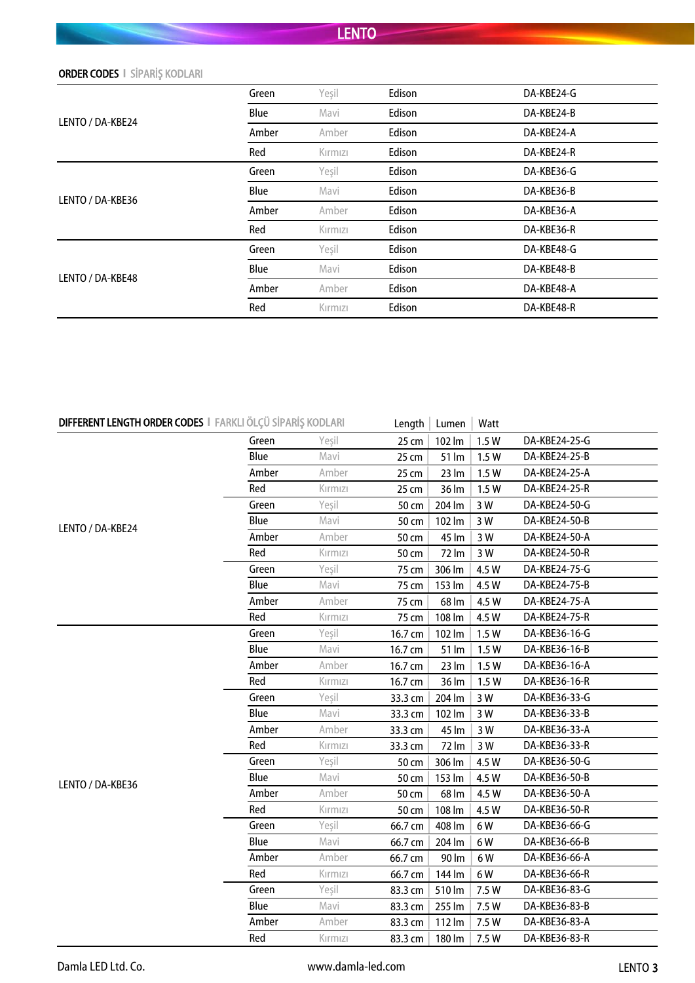| <b>ORDER CODES   SIPARIS KODLARI</b> |  |  |  |
|--------------------------------------|--|--|--|
|--------------------------------------|--|--|--|

|                  | Green | Yeşil   | Edison | DA-KBE24-G |
|------------------|-------|---------|--------|------------|
| LENTO / DA-KBE24 | Blue  | Mavi    | Edison | DA-KBE24-B |
|                  | Amber | Amber   | Edison | DA-KBE24-A |
|                  | Red   | Kırmızı | Edison | DA-KBE24-R |
| LENTO / DA-KBE36 | Green | Yeşil   | Edison | DA-KBE36-G |
|                  | Blue  | Mavi    | Edison | DA-KBE36-B |
|                  | Amber | Amber   | Edison | DA-KBE36-A |
|                  | Red   | Kırmızı | Edison | DA-KBE36-R |
|                  | Green | Yeşil   | Edison | DA-KBE48-G |
|                  | Blue  | Mavi    | Edison | DA-KBE48-B |
| LENTO / DA-KBE48 | Amber | Amber   | Edison | DA-KBE48-A |
|                  | Red   | Kırmızı | Edison | DA-KBE48-R |
|                  |       |         |        |            |

| DIFFERENT LENGTH ORDER CODES   FARKLI ÖLÇÜ SİPARİŞ KODLARI |       |         | Length  | Lumen             | Watt  |               |
|------------------------------------------------------------|-------|---------|---------|-------------------|-------|---------------|
|                                                            | Green | Yeşil   | 25 cm   | 102 lm            | 1.5W  | DA-KBE24-25-G |
|                                                            | Blue  | Mavi    | 25 cm   | 51 lm             | 1.5W  | DA-KBE24-25-B |
|                                                            | Amber | Amber   | 25 cm   | 23 lm             | 1.5W  | DA-KBE24-25-A |
|                                                            | Red   | Kırmızı | 25 cm   | 36 lm             | 1.5W  | DA-KBE24-25-R |
|                                                            | Green | Yeşil   | 50 cm   | 204 lm            | 3 W   | DA-KBE24-50-G |
|                                                            | Blue  | Mavi    | 50 cm   | 102 lm            | 3 W   | DA-KBE24-50-B |
| LENTO / DA-KBE24                                           | Amber | Amber   | 50 cm   | 45 lm             | 3 W   | DA-KBE24-50-A |
|                                                            | Red   | Kırmızı | 50 cm   | 72 lm             | 3 W   | DA-KBE24-50-R |
|                                                            | Green | Yeşil   | 75 cm   | 306 lm            | 4.5 W | DA-KBE24-75-G |
|                                                            | Blue  | Mavi    | 75 cm   | 153 lm            | 4.5 W | DA-KBE24-75-B |
|                                                            | Amber | Amber   | 75 cm   | 68 lm             | 4.5 W | DA-KBE24-75-A |
|                                                            | Red   | Kırmızı | 75 cm   | 108 lm            | 4.5 W | DA-KBE24-75-R |
|                                                            | Green | Yeşil   | 16.7 cm | 102 lm            | 1.5W  | DA-KBE36-16-G |
|                                                            | Blue  | Mavi    | 16.7 cm | 51 lm             | 1.5W  | DA-KBE36-16-B |
|                                                            | Amber | Amber   | 16.7 cm | $23 \, \text{Im}$ | 1.5W  | DA-KBE36-16-A |
|                                                            | Red   | Kırmızı | 16.7 cm | 36 lm             | 1.5W  | DA-KBE36-16-R |
|                                                            | Green | Yeşil   | 33.3 cm | 204 lm            | 3 W   | DA-KBE36-33-G |
|                                                            | Blue  | Mavi    | 33.3 cm | 102 lm            | 3 W   | DA-KBE36-33-B |
|                                                            | Amber | Amber   | 33.3 cm | 45 lm             | 3 W   | DA-KBE36-33-A |
|                                                            | Red   | Kırmızı | 33.3 cm | 72 lm             | 3 W   | DA-KBE36-33-R |
|                                                            | Green | Yeşil   | 50 cm   | 306 lm            | 4.5 W | DA-KBE36-50-G |
| LENTO / DA-KBE36                                           | Blue  | Mavi    | 50 cm   | 153 lm            | 4.5 W | DA-KBE36-50-B |
|                                                            | Amber | Amber   | 50 cm   | 68 lm             | 4.5 W | DA-KBE36-50-A |
|                                                            | Red   | Kırmızı | 50 cm   | 108 lm            | 4.5 W | DA-KBE36-50-R |
|                                                            | Green | Yeşil   | 66.7 cm | 408 lm            | 6W    | DA-KBE36-66-G |
|                                                            | Blue  | Mavi    | 66.7 cm | 204 lm            | 6W    | DA-KBE36-66-B |
|                                                            | Amber | Amber   | 66.7 cm | 90 lm             | 6W    | DA-KBE36-66-A |
|                                                            | Red   | Kırmızı | 66.7 cm | 144 lm            | 6W    | DA-KBE36-66-R |
|                                                            | Green | Yeşil   | 83.3 cm | 510 lm            | 7.5 W | DA-KBE36-83-G |
|                                                            | Blue  | Mavi    | 83.3 cm | 255 lm            | 7.5 W | DA-KBE36-83-B |
|                                                            | Amber | Amber   | 83.3 cm | 112 lm            | 7.5 W | DA-KBE36-83-A |
|                                                            | Red   | Kırmızı | 83.3 cm | 180 lm            | 7.5 W | DA-KBE36-83-R |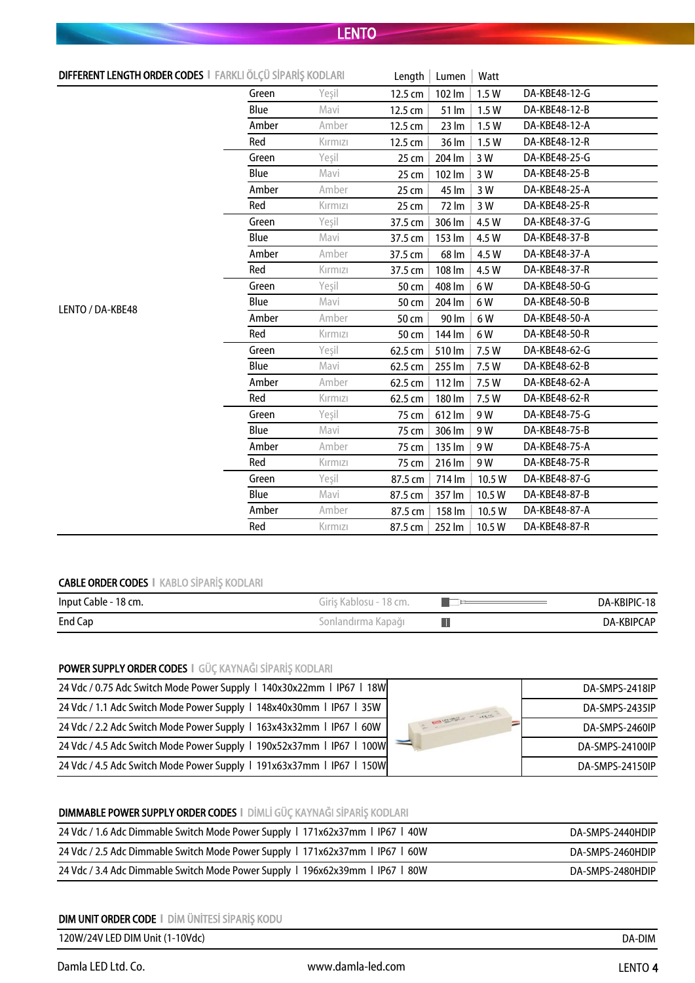| DIFFERENT LENGTH ORDER CODES   FARKLI ÖLÇÜ SİPARİŞ KODLARI |       |         | Length  | Lumen             | Watt   |               |
|------------------------------------------------------------|-------|---------|---------|-------------------|--------|---------------|
|                                                            | Green | Yeşil   | 12.5 cm | 102 lm            | 1.5W   | DA-KBE48-12-G |
|                                                            | Blue  | Mavi    | 12.5 cm | 51 lm             | 1.5W   | DA-KBE48-12-B |
|                                                            | Amber | Amber   | 12.5 cm | $23 \, \text{Im}$ | 1.5W   | DA-KBE48-12-A |
|                                                            | Red   | Kırmızı | 12.5 cm | 36 lm             | 1.5W   | DA-KBE48-12-R |
|                                                            | Green | Yeşil   | 25 cm   | 204 lm            | 3 W    | DA-KBE48-25-G |
|                                                            | Blue  | Mavi    | 25 cm   | 102 lm            | 3 W    | DA-KBE48-25-B |
|                                                            | Amber | Amber   | 25 cm   | 45 lm             | 3 W    | DA-KBE48-25-A |
|                                                            | Red   | Kırmızı | 25 cm   | 72 lm             | 3 W    | DA-KBE48-25-R |
|                                                            | Green | Yeşil   | 37.5 cm | 306 lm            | 4.5 W  | DA-KBE48-37-G |
|                                                            | Blue  | Mavi    | 37.5 cm | 153 lm            | 4.5 W  | DA-KBE48-37-B |
|                                                            | Amber | Amber   | 37.5 cm | 68 lm             | 4.5 W  | DA-KBE48-37-A |
|                                                            | Red   | Kırmızı | 37.5 cm | 108 lm            | 4.5 W  | DA-KBE48-37-R |
|                                                            | Green | Yeşil   | 50 cm   | 408 lm            | 6W     | DA-KBE48-50-G |
| LENTO / DA-KBE48                                           | Blue  | Mavi    | 50 cm   | 204 lm            | 6W     | DA-KBE48-50-B |
|                                                            | Amber | Amber   | 50 cm   | 90 lm             | 6W     | DA-KBE48-50-A |
|                                                            | Red   | Kırmızı | 50 cm   | 144 lm            | 6W     | DA-KBE48-50-R |
|                                                            | Green | Yeşil   | 62.5 cm | 510 lm            | 7.5 W  | DA-KBE48-62-G |
|                                                            | Blue  | Mavi    | 62.5 cm | 255 lm            | 7.5 W  | DA-KBE48-62-B |
|                                                            | Amber | Amber   | 62.5 cm | 112 lm            | 7.5 W  | DA-KBE48-62-A |
|                                                            | Red   | Kırmızı | 62.5 cm | 180 lm            | 7.5 W  | DA-KBE48-62-R |
|                                                            | Green | Yeşil   | 75 cm   | 612 lm            | 9 W    | DA-KBE48-75-G |
|                                                            | Blue  | Mavi    | 75 cm   | 306 lm            | 9 W    | DA-KBE48-75-B |
|                                                            | Amber | Amber   | 75 cm   | 135 lm            | 9W     | DA-KBE48-75-A |
|                                                            | Red   | Kırmızı | 75 cm   | 216 lm            | 9 W    | DA-KBE48-75-R |
|                                                            | Green | Yeşil   | 87.5 cm | 714 lm            | 10.5 W | DA-KBE48-87-G |
|                                                            | Blue  | Mavi    | 87.5 cm | 357 lm            | 10.5 W | DA-KBE48-87-B |
|                                                            | Amber | Amber   | 87.5 cm | 158 lm            | 10.5 W | DA-KBE48-87-A |
|                                                            | Red   | Kırmızı | 87.5 cm | 252 lm            | 10.5 W | DA-KBE48-87-R |

### CABLE ORDER CODES **І** KABLO SİPARİŞ KODLARI

| Input Cable - 18 cm. | Giriş Kablosu - 18 cm. | DA-KBIPIC-18 |
|----------------------|------------------------|--------------|
| End Cap              | Sonlandırma Kapağı i   | DA-KBIPCAP   |

### POWER SUPPLY ORDER CODES **І** GÜÇ KAYNAĞI SİPARİŞ KODLARI

| 24 Vdc / 0.75 Adc Switch Mode Power Supply   140x30x22mm   IP67   18W | WANTED TO THE TANK OF THE TABLE | DA-SMPS-2418IP  |
|-----------------------------------------------------------------------|---------------------------------|-----------------|
| 24 Vdc / 1.1 Adc Switch Mode Power Supply   148x40x30mm   IP67   35W  |                                 | DA-SMPS-2435IP  |
| 24 Vdc / 2.2 Adc Switch Mode Power Supply   163x43x32mm   IP67   60W  |                                 | DA-SMPS-2460IP  |
| 24 Vdc / 4.5 Adc Switch Mode Power Supply   190x52x37mm   IP67   100W |                                 | DA-SMPS-24100IP |
| 24 Vdc / 4.5 Adc Switch Mode Power Supply   191x63x37mm   IP67   150W |                                 | DA-SMPS-24150IP |

### DIMMABLE POWER SUPPLY ORDER CODES **І** DİMLİ GÜÇ KAYNAĞI SİPARİŞ KODLARI

| 24 Vdc / 1.6 Adc Dimmable Switch Mode Power Supply   171x62x37mm   IP67   40W | DA-SMPS-2440HDIP |
|-------------------------------------------------------------------------------|------------------|
| 24 Vdc / 2.5 Adc Dimmable Switch Mode Power Supply 1 171x62x37mm 1 IP67 1 60W | DA-SMPS-2460HDIP |
| 24 Vdc / 3.4 Adc Dimmable Switch Mode Power Supply   196x62x39mm   IP67   80W | DA-SMPS-2480HDIP |

### DIM UNIT ORDER CODE **І** DİM ÜNİTESİ SİPARİŞ KODU

120W/24V LED DIM Unit (1-10Vdc)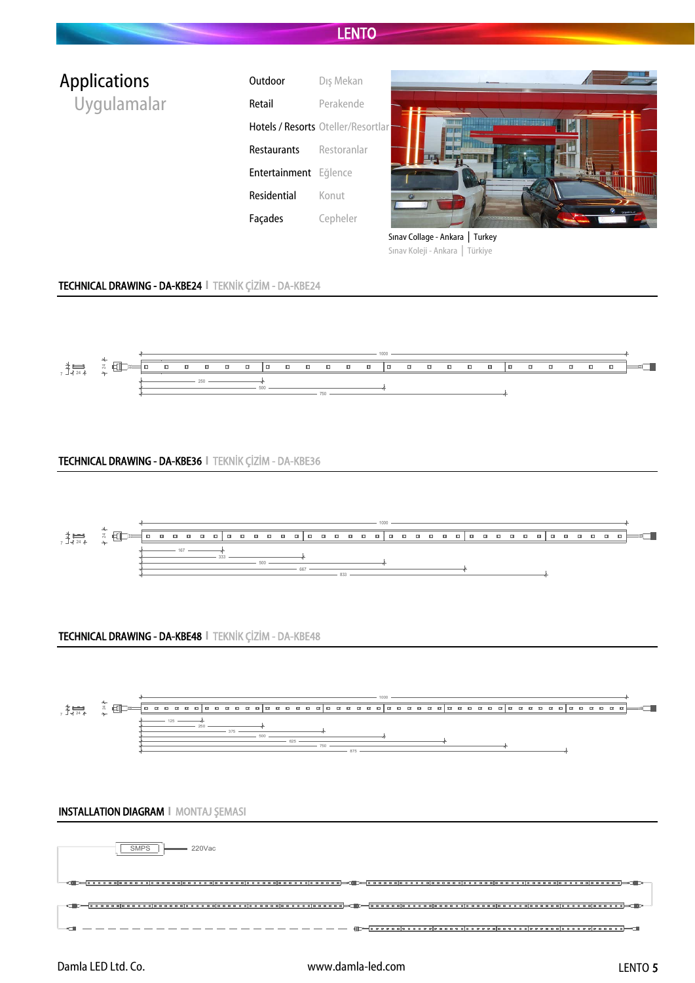| <b>Applications</b> | Outdoor               | Dış Mekan                          |                                              |
|---------------------|-----------------------|------------------------------------|----------------------------------------------|
| Uygulamalar         | Retail                | Perakende                          |                                              |
|                     |                       | Hotels / Resorts Oteller/Resortlar | <b>麻辣料 10.5 计比例检索</b>                        |
|                     | Restaurants           | Restoranlar                        |                                              |
|                     | Entertainment Eğlence |                                    | <b>CHE FOR</b>                               |
|                     | Residential           | Konut                              |                                              |
|                     | Façades               | Cepheler                           | $\circledast$ 230Ld<br><b>ALL AREA CARDS</b> |
|                     |                       |                                    | Sinav Collage - Ankara   Turkey              |
|                     |                       |                                    | Türkiye<br>Sınav Koleji - Ankara             |

#### TECHNICAL DRAWING - DA-KBE24 **І** TEKNİK ÇİZİM - DA-KBE24



#### TECHNICAL DRAWING - DA-KBE36 **І** TEKNİK ÇİZİM - DA-KBE36



#### TECHNICAL DRAWING - DA-KBE48 **І** TEKNİK ÇİZİM - DA-KBE48



#### INSTALLATION DIAGRAM **І** MONTAJ ŞEMASI

| SMPS<br>$\sim$ 220Vac |  |
|-----------------------|--|
|                       |  |
|                       |  |
|                       |  |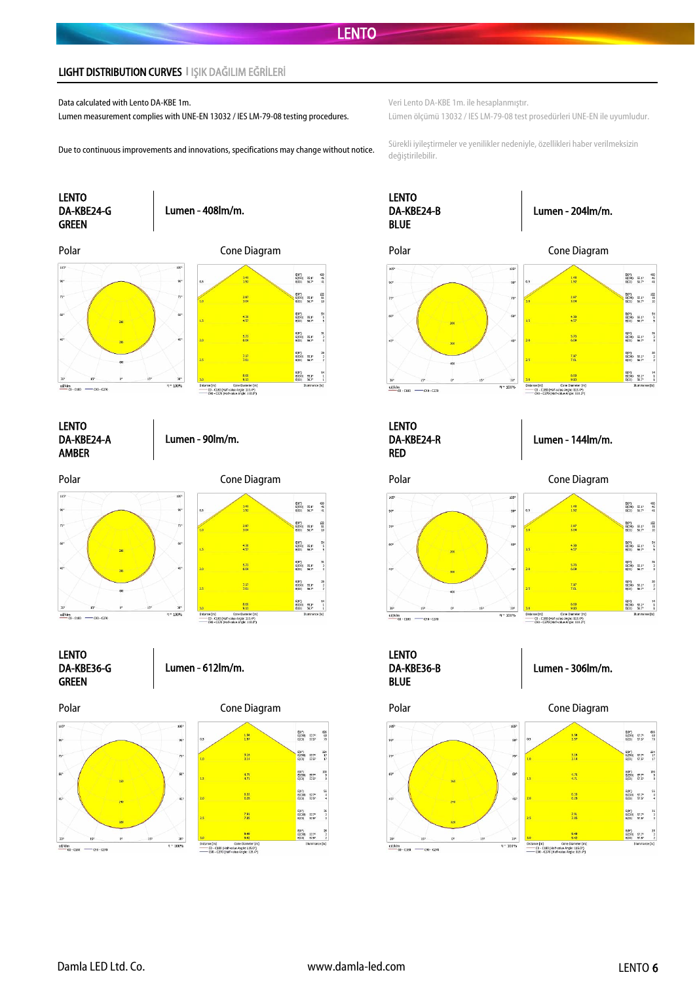#### LIGHT DISTRIBUTION CURVES **І** IŞIK DAĞILIM EĞRİLERİ

Data calculated with Lento DA-KBE 1m. Veri Lento DA-KBE 1m. ile hesaplanmıştır.

Lumen measurement complies with UNE-EN 13032 / IES LM-79-08 testing procedures. Lümen ölçümü 13032 / IES LM-79-08 test prosedürleri UNE-EN ile uyumludur.



Due to continuous improvements and innovations, specifications may change without notice. Sürekli iyileştirmeler ve yenilikler nedeniyle, özellikleri haber verilmeksizin değiştirilebilir.